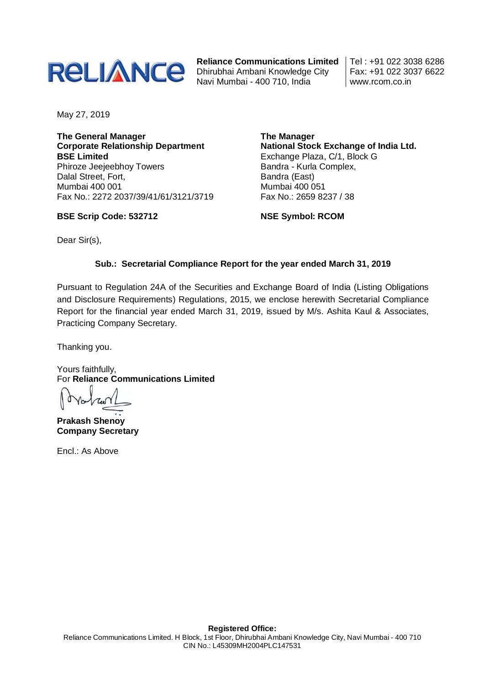

**Reliance Communications Limited** Dhirubhai Ambani Knowledge City Navi Mumbai - 400 710, India

Tel : +91 022 3038 6286 Fax: +91 022 3037 6622 www.rcom.co.in

May 27, 2019

**The General Manager Corporate Relationship Department BSE Limited** Phiroze Jeejeebhoy Towers Dalal Street, Fort, Mumbai 400 001 Fax No.: 2272 2037/39/41/61/3121/3719

**BSE Scrip Code: 532712**

**The Manager National Stock Exchange of India Ltd.** Exchange Plaza, C/1, Block G Bandra - Kurla Complex, Bandra (East) Mumbai 400 051 Fax No.: 2659 8237 / 38

**NSE Symbol: RCOM**

Dear Sir(s),

#### **Sub.: Secretarial Compliance Report for the year ended March 31, 2019**

Pursuant to Regulation 24A of the Securities and Exchange Board of India (Listing Obligations and Disclosure Requirements) Regulations, 2015, we enclose herewith Secretarial Compliance Report for the financial year ended March 31, 2019, issued by M/s. Ashita Kaul & Associates, Practicing Company Secretary.

Thanking you.

Yours faithfully, For **Reliance Communications Limited**

**Prakash Shenoy Company Secretary**

Encl.: As Above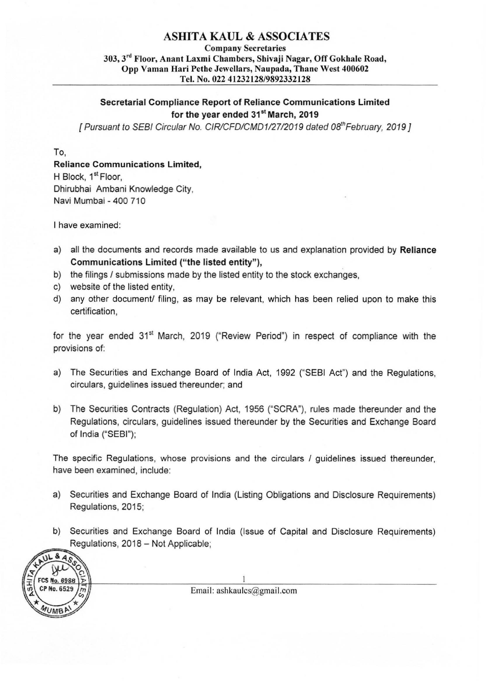# ASHITA KAUL & ASSOCIATES

Company Secretaries 303,3'" Floor, Anant Laxmi Chambers, Shivaji Nagar, Off Gokhale Road, Opp Vaman Hari Pethe Jewellars, Naupada, Thane West 400602 Tel. No. 022 41232128/9892332128

### Secretarial Compliance Report of Reliance Communications Limited for the year ended 31<sup>st</sup> March, 2019

[ Pursuant to SEBI Circular No. CIR/CFD/CMD1/27/2019 dated 08<sup>th</sup> February, 2019 ]

To,

## Reliance Communications Limited,

H Block, 1<sup>st</sup> Floor, Dhirubhai Ambani Knowledge City, Navi Mumbai -400 710

I have examined:

- a) all the documents and records made available to us and explanation provided by Reliance Communications Limited ("the listed entity"),
- b) the filings / submissions made by the listed entity to the stock exchanges,
- c) website of the listed entity,
- d) any other documenU filing, as may be relevant, which has been relied upon to make this certification,

for the year ended 31<sup>st</sup> March, 2019 ("Review Period") in respect of compliance with the provisions of:

- a) The Securities and Exchange Board of India Act, 1992 ("SEBI Act") and the Regulations, circulars, guidelines issued thereunder; and
- b) The Securities Contracts (Regulation) Act, 1956 ("SCRA'), rules made thereunder and the Regulations, circulars, guidelines issued thereunder by the Securities and Exchange Board of India ("SEBI");

The specific Regulations, whose provisions and the circulars / guidelines issued thereunder, have been examined, include:

- a) Securities and Exchange Board of India (Listing Obligations and Disclosure Requirements) Regulations, 2015;
- b) Securities and Exchange Board of India (Issue of Capital and Disclosure Requirements) Regulations, 2018 - Not Applicable;



Email: ashkaulcs@gmail.com